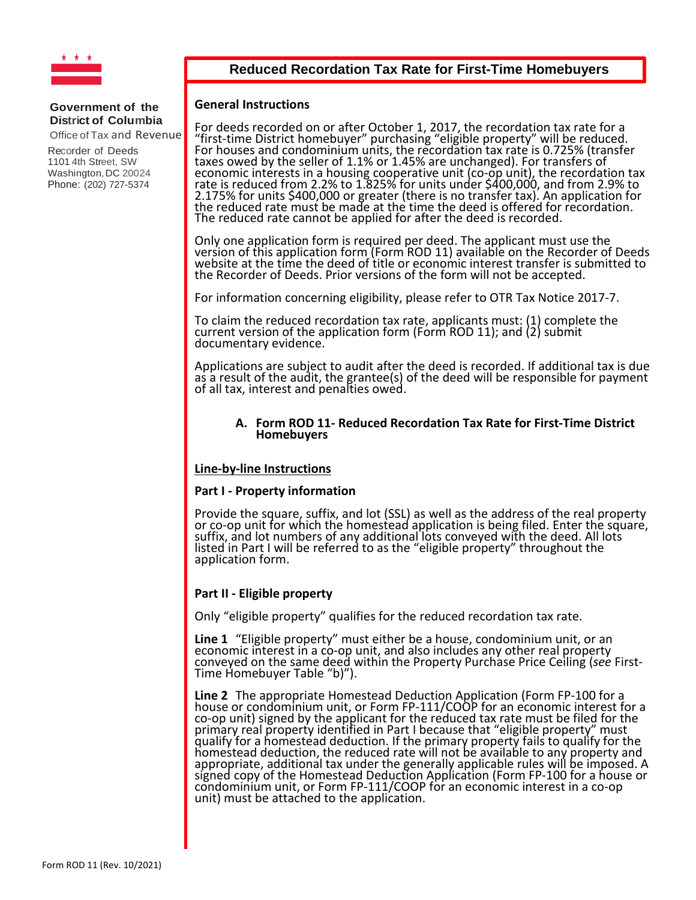

## **Reduced Recordation Tax Rate for First-Time Homebuyers**

### **General Instructions**

For deeds recorded on or after October 1, 2017, the recordation tax rate for a "first-time District homebuyer" purchasing "eligible property" will be reduced.<br>For houses and condominium units, the recordation tax rate is 0.725% (transfer<br>taxes owed by the seller of 1.1% or 1.45% are unchanged). For t taxes owed by the seller of 1.1% or 1.45% are unchanged). For transfers of<br>economic interests in a housing cooperative unit (co-op unit), the recordation tax<br>rate is reduced from 2.2% to 1.825% for units under \$400,000, an The reduced rate cannot be applied for after the deed is recorded.

Only one application form is required per deed. The applicant must use the version of this application form (Form ROD 11) available on the Recorder of Deeds website at the time the deed of title or economic interest transfer is submitted to the Recorder of Deeds. Prior versions of the form will not be accepted.

For information concerning eligibility, please refer to OTR Tax Notice 2017-7.

To claim the reduced recordation tax rate, applicants must: (1) complete the<br>current version of the application form (Form ROD 11); and (2) submit<br>documentary evidence.

Applications are subject to audit after the deed is recorded. If additional tax is due as a result of the audit, the grantee(s) of the deed will be responsible for payment of all tax, interest and penalties owed.

### **A. Form ROD 11- Reduced Recordation Tax Rate for First-Time District Homebuyers**

### **Line-by-line Instructions**

### **Part I - Property information**

Provide the square, suffix, and lot (SSL) as well as the address of the real property or co-op unit for which the homestead application is being filed. Enter the square, or co-op unit for which the homestead application is being filed. Enter the square,<br>suffix, and lot numbers of any additional lots conveyed with the deed. All lots listed in Part I will be referred to as the "eligible property" throughout the<br>application form.

### **Part II - Eligible property**

Only "eligible property" qualifies for the reduced recordation tax rate.

Line 1 "Eligible property" must either be a house, condominium unit, or an economic interest in a co-op unit, and also includes any other real property conveyed on the same deed within the Property Purchase Price Ceiling (*see* First-<br>Time Homebuyer Table "b)").

**Line 2** The appropriate Homestead Deduction Application (Form FP-100 for a house or condominium unit, or Form FP-111/COOP for an economic interest for a co-op unit) signed by the applicant for the reduced tax rate must be filed for the primary real property identified in Part I because that "eligible property" must<br>qualify for a homestead deduction. If the primary property fails to qualify for the<br>homestead deduction, the reduced rate will not be availab appropriate, additional tax under the generally applicable rules will be imposed. A signed copy of the Homestead Deduction Application (Form FP-100 for a house or condominium unit, or Form FP-111/COOP for an economic interest in a co-op unit) must be attached to the application.

### **Government of the District of Columbia**

Office of Tax and Revenue

Recorder of Deeds 1101 4th Street, SW Washington, DC 20024 Phone: (202) 727-5374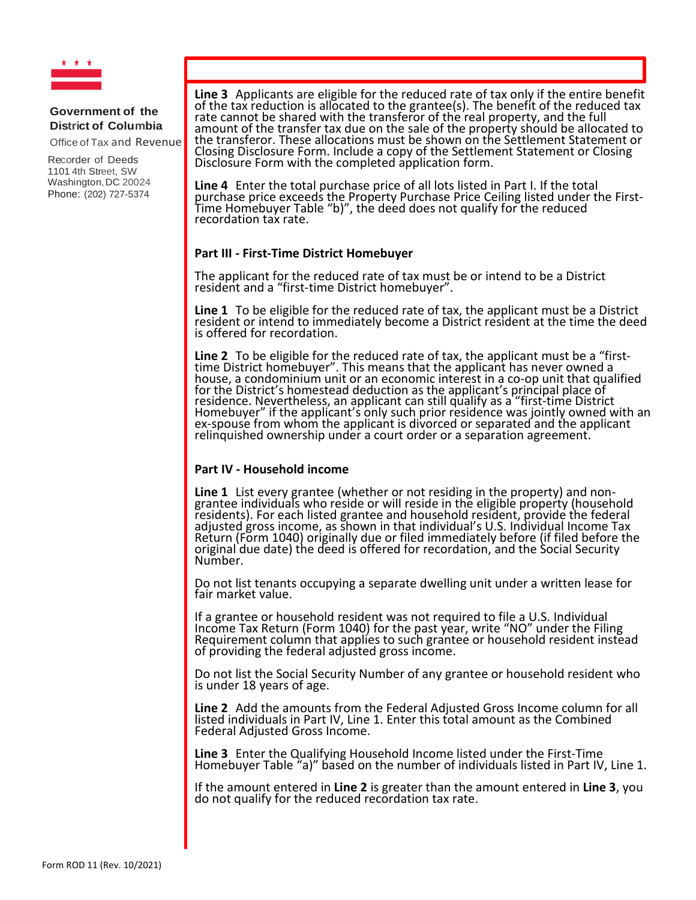

Office of Tax and Revenue

Recorder of Deeds 1101 4th Street, SW Washington, DC 20024 Phone: (202) 727-5374

**Line 3** Applicants are eligible for the reduced rate of tax only if the entire benefit of the reduced tax of the tax reduction is allocated to the grantee(s). The benefit of the reduced tax rate cannot be shared with the transferor of the real property, and the full amount of the transfer tax due on the sale of the property should be allocated to the transferor. These allocations must be shown on the Settlement Statement or Closing Disclosure Form. Include a copy of the Settlement Statement or Closing Disclosure Form with the completed application form.

**Line 4** Enter the total purchase price of all lots listed in Part I. If the total purchase price exceeds the Property Purchase Price Ceiling listed under the First-<br>Time Homebuyer Table "b)", the deed does not qualify for the reduced<br>recordation tax rate.

## **Part III - First-Time District Homebuyer**

The applicant for the reduced rate of tax must be or intend to be a District resident and a "first-time District homebuyer".

**Line 1** To be eligible for the reduced rate of tax, the applicant must be a District resident or intend to immediately become a District resident at the time the deed is offered for recordation.

**Line 2** To be eligible for the reduced rate of tax, the applicant must be a "first-<br>time District homebuyer". This means that the applicant has never owned a<br>house, a condominium unit or an economic interest in a co-op un house, a condominium unit or an economic interest in a co-op unit that qualified<br>for the District's homestead deduction as the applicant's principal place of<br>residence. Nevertheless, an applicant can still qualify as a "fi Homebuyer" if the applicant's only such prior residence was jointly owned with an ex-spouse from whom the applicant is divorced or separated and the applicant relinquished ownership under a court order or a separation agreement.

### **Part IV - Household income**

**Line 1** List every grantee (whether or not residing in the property) and non-<br>grantee individuals who reside or will reside in the eligible property (household<br>residents). For each listed grantee and household resident, p adjusted gross income, as shown in that individual's U.S. Individual Income Tax Return (Form 1040) originally due or filed immediately before (if filed before the original due date) the deed is offered for recordation, and the Social Security<br>Number.

Do not list tenants occupying a separate dwelling unit under a written lease for<br>fair market value.

If a grantee or household resident was not required to file a U.S. Individual Income Tax Return (Form 1040) for the past year, write "NO" under the Filing<br>Requirement column that applies to such grantee or household resident instead of providing the federal adjusted gross income.

Do not list the Social Security Number of any grantee or household resident who is under 18 years of age.

**Line 2** Add the amounts from the Federal Adjusted Gross Income column for all listed individuals in Part IV, Line 1. Enter this total amount as the Combined Federal Adjusted Gross Income.

**Line 3** Enter the Qualifying Household Income listed under the First-Time Homebuyer Table "a)" based on the number of individuals listed in Part IV, Line 1.

If the amount entered in **Line 2** is greater than the amount entered in **Line 3**, you do not qualify for the reduced recordation tax rate.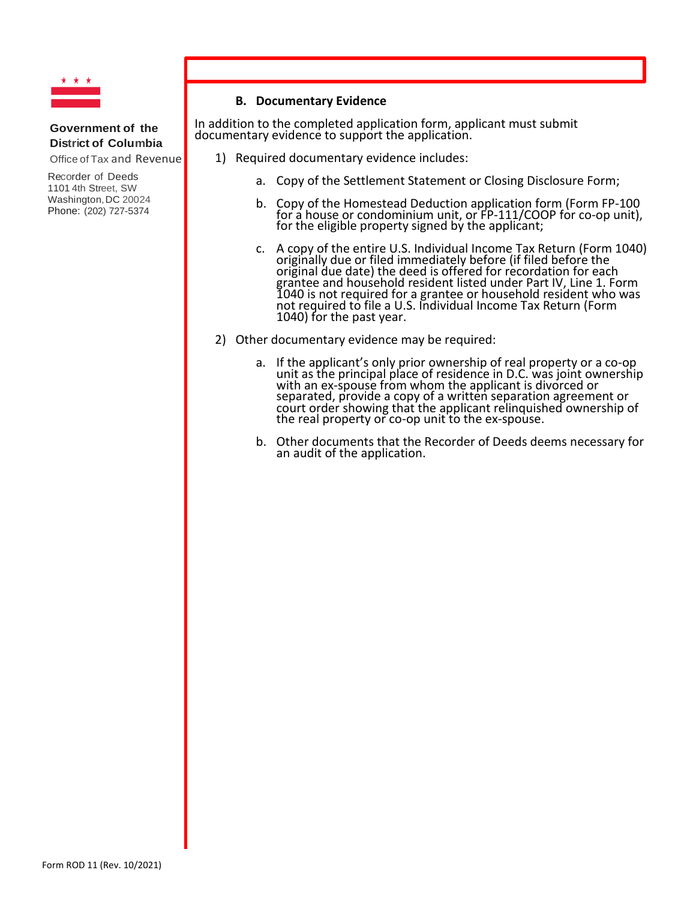

Office of Tax and Revenue

Recorder of Deeds 1101 4th Street, SW Washington, DC 20024 Phone: (202) 727-5374

## **B. Documentary Evidence**

In addition to the completed application form, applicant must submit documentary evidence to support the application.

1) Required documentary evidence includes:

- a. Copy of the Settlement Statement or Closing Disclosure Form;
- b. Copy of the Homestead Deduction application form (Form FP-100 for a house or condominium unit, or FP-111/COOP for co-op unit),<br>for the eligible property signed by the applicant;
- c. A copy of the entire U.S. Individual Income Tax Return (Form 1040) originally due or filed immediately before (if filed before the original due date) the deed is offered for recordation for each grantee and household resident listed under Part IV, Line 1. Form 1040 is not required for a grantee or household resident who was not required to file a U.S. Individual Income Tax Return (Form 1040) for the past year.
- 2) Other documentary evidence may be required:
	- a. If the applicant's only prior ownership of real property or a co-op unit as the principal place of residence in D.C. was joint ownership<br>with an ex-spouse from whom the applicant is divorced or<br>separated, provide a copy of a written separation agreement or<br>court order showing that the appl
	- b. Other documents that the Recorder of Deeds deems necessary for an audit of the application.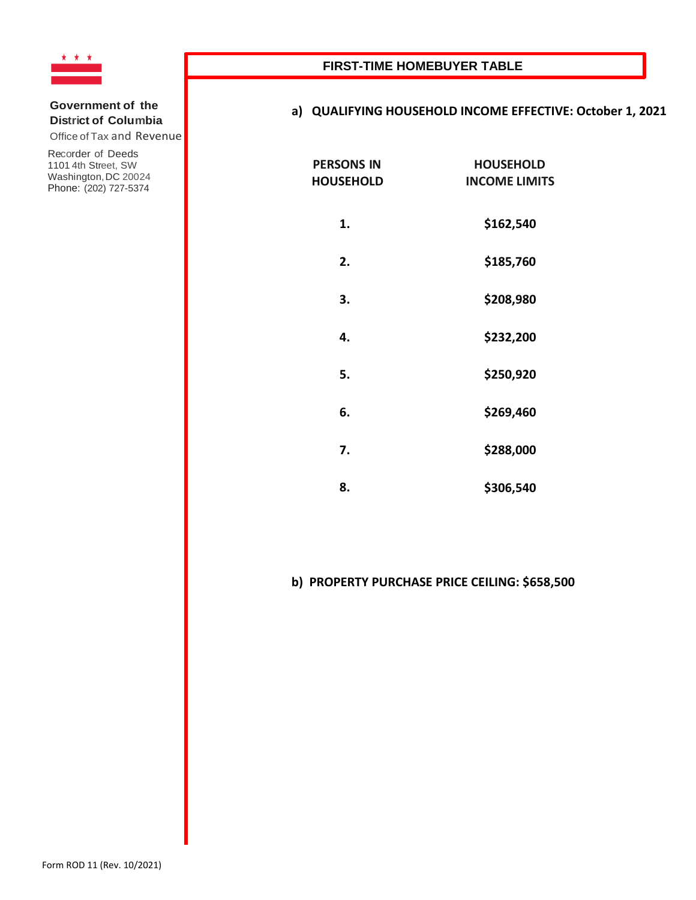

Office of Tax and Revenue

Recorder of Deeds 1101 4th Street, SW Washington, DC 20024 Phone: (202) 727-5374

# **a) QUALIFYING HOUSEHOLD INCOME EFFECTIVE: October 1, 2021**

| <b>PERSONS IN</b><br><b>HOUSEHOLD</b> | <b>HOUSEHOLD</b><br><b>INCOME LIMITS</b> |
|---------------------------------------|------------------------------------------|
| 1.                                    | \$162,540                                |
| 2.                                    | \$185,760                                |
| 3.                                    | \$208,980                                |
| 4.                                    | \$232,200                                |
| 5.                                    | \$250,920                                |
| 6.                                    | \$269,460                                |
| 7.                                    | \$288,000                                |
| 8.                                    | \$306,540                                |

# **b) PROPERTY PURCHASE PRICE CEILING: \$658,500**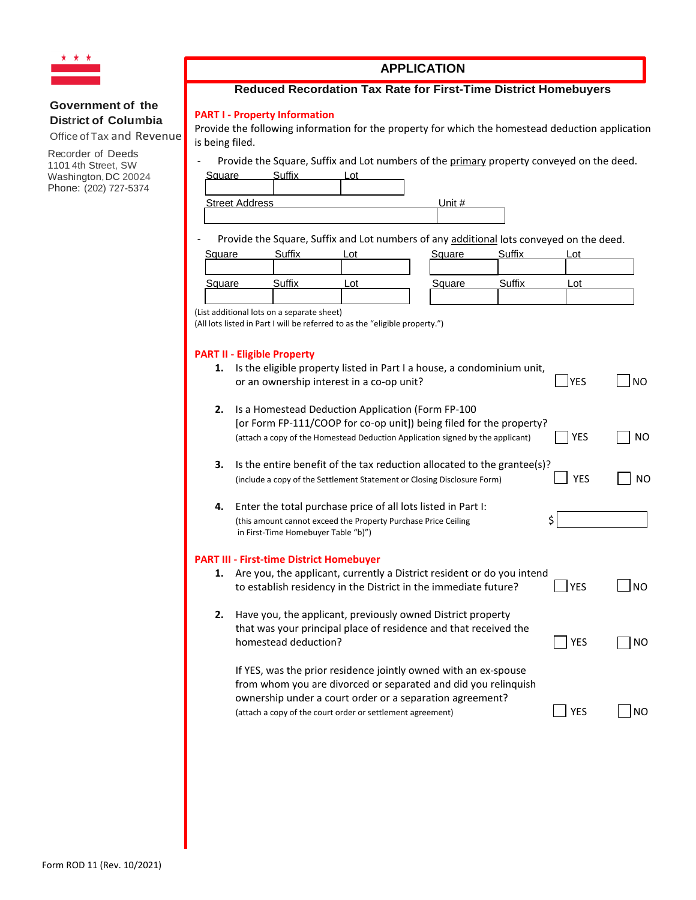

Office of Tax and Revenue

Recorder of Deeds 1101 4th Street, SW Washington, DC 20024 Phone: (202) 727-5374

# **APPLICATION**

## **Reduced Recordation Tax Rate for First-Time District Homebuyers**

### **PART I - Property Information**

Provide the following information for the property for which the homestead deduction application is being filed.

- Provide the Square, Suffix and Lot numbers of the primary property conveyed on the deed.

| Square                | C. . <del>.</del> | $\sim$ |        |
|-----------------------|-------------------|--------|--------|
|                       |                   |        |        |
| <b>Street Address</b> |                   |        | Inif H |

Provide the Square, Suffix and Lot numbers of any additional lots conveyed on the deed.

| Square | Suffix | _ot | Square | Suffix | $\cap^+$ |
|--------|--------|-----|--------|--------|----------|
| Square | Suffix | _oʻ | Square | Suffix | Lot      |

(List additional lots on a separate sheet)

(All lots listed in Part I will be referred to as the "eligible property.")

### **PART II - Eligible Property**

|    | <b>PART II - Eligible Property</b>                                                                                                                                                                                                                          |            |                |
|----|-------------------------------------------------------------------------------------------------------------------------------------------------------------------------------------------------------------------------------------------------------------|------------|----------------|
| 1. | Is the eligible property listed in Part I a house, a condominium unit,<br>or an ownership interest in a co-op unit?                                                                                                                                         | <b>YES</b> | <b>NO</b>      |
| 2. | Is a Homestead Deduction Application (Form FP-100<br>[or Form FP-111/COOP for co-op unit]) being filed for the property?<br>(attach a copy of the Homestead Deduction Application signed by the applicant)                                                  | <b>YES</b> | <b>NO</b>      |
| 3. | Is the entire benefit of the tax reduction allocated to the grantee(s)?<br>(include a copy of the Settlement Statement or Closing Disclosure Form)                                                                                                          | <b>YES</b> | NO             |
| 4. | Enter the total purchase price of all lots listed in Part I:<br>(this amount cannot exceed the Property Purchase Price Ceiling<br>in First-Time Homebuyer Table "b)")                                                                                       | \$         |                |
|    | <b>PART III - First-time District Homebuyer</b>                                                                                                                                                                                                             |            |                |
| 1. | Are you, the applicant, currently a District resident or do you intend<br>to establish residency in the District in the immediate future?                                                                                                                   | <b>YES</b> | N <sub>O</sub> |
| 2. | Have you, the applicant, previously owned District property<br>that was your principal place of residence and that received the<br>homestead deduction?                                                                                                     | <b>YES</b> | NO.            |
|    | If YES, was the prior residence jointly owned with an ex-spouse<br>from whom you are divorced or separated and did you relinquish<br>ownership under a court order or a separation agreement?<br>(attach a copy of the court order or settlement agreement) | <b>YES</b> | <b>NO</b>      |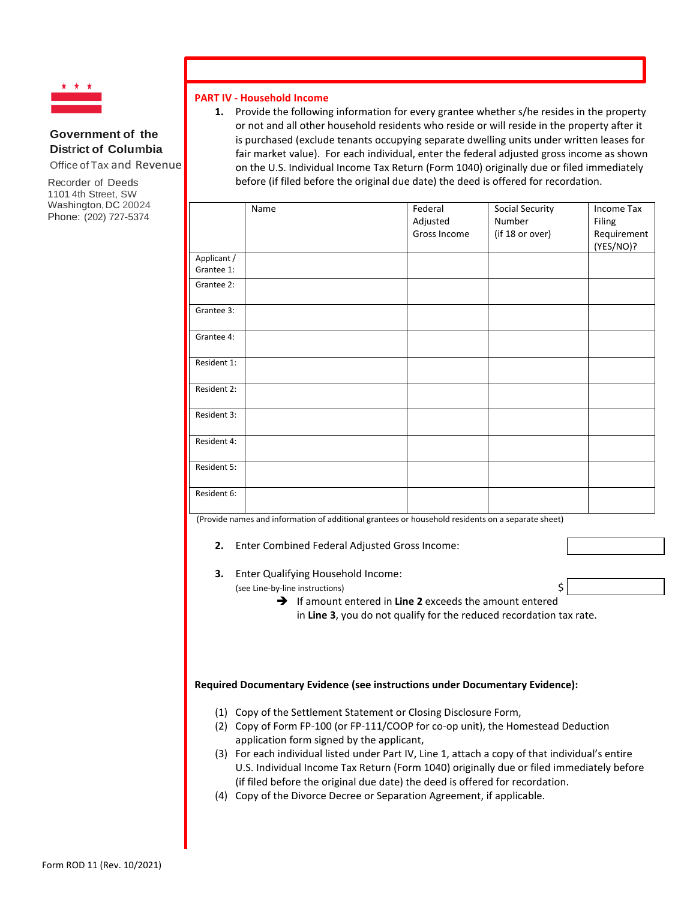

Office of Tax and Revenue

Recorder of Deeds 1101 4th Street, SW Washington, DC 20024 Phone: (202) 727-5374

### **PART IV - Household Income**

**1.** Provide the following information for every grantee whether s/he resides in the property or not and all other household residents who reside or will reside in the property after it is purchased (exclude tenants occupying separate dwelling units under written leases for fair market value). For each individual, enter the federal adjusted gross income as shown on the U.S. Individual Income Tax Return (Form 1040) originally due or filed immediately before (if filed before the original due date) the deed is offered for recordation.

|                           | Name | Federal<br>Adjusted<br>Gross Income | Social Security<br>Number<br>(if 18 or over) | Income Tax<br>Filing<br>Requirement<br>(YES/NO)? |
|---------------------------|------|-------------------------------------|----------------------------------------------|--------------------------------------------------|
| Applicant /<br>Grantee 1: |      |                                     |                                              |                                                  |
| Grantee 2:                |      |                                     |                                              |                                                  |
| Grantee 3:                |      |                                     |                                              |                                                  |
| Grantee 4:                |      |                                     |                                              |                                                  |
| Resident 1:               |      |                                     |                                              |                                                  |
| Resident 2:               |      |                                     |                                              |                                                  |
| Resident 3:               |      |                                     |                                              |                                                  |
| Resident 4:               |      |                                     |                                              |                                                  |
| Resident 5:               |      |                                     |                                              |                                                  |
| Resident 6:               |      |                                     |                                              |                                                  |

(Provide names and information of additional grantees or household residents on a separate sheet)

- **2.** Enter Combined Federal Adjusted Gross Income:
- **3.** Enter Qualifying Household Income:

(see Line-by-line instructions) \$

→ If amount entered in Line 2 exceeds the amount entered in **Line 3**, you do not qualify for the reduced recordation tax rate.

#### **Required Documentary Evidence (see instructions under Documentary Evidence):**

- (1) Copy of the Settlement Statement or Closing Disclosure Form,
- (2) Copy of Form FP-100 (or FP-111/COOP for co-op unit), the Homestead Deduction application form signed by the applicant,
- (3) For each individual listed under Part IV, Line 1, attach a copy of that individual's entire U.S. Individual Income Tax Return (Form 1040) originally due or filed immediately before (if filed before the original due date) the deed is offered for recordation.
- (4) Copy of the Divorce Decree or Separation Agreement, if applicable.